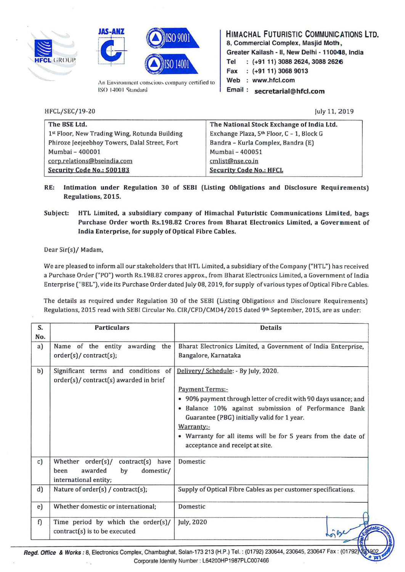





An Environment conscious company certified to ISO 14001 Standard

HIMACHAL FUTURISTIC COMMUNICATIONS LTD. 8, Commercial Complex, Masjid Moth, Greater Kailash - II, New Delhi - 110048, India Tel : (+91 11) 3088 2624, 3088 2626 Fax : (+91 11) 3068 9013 Web : www.hfcl.com Email : secretarial@hfcl.com

HFCL/SEC/19-20

july 11, 2019

| The BSE Ltd.                                  | The National Stock Exchange of India Ltd.             |  |
|-----------------------------------------------|-------------------------------------------------------|--|
| 1st Floor, New Trading Wing, Rotunda Building | Exchange Plaza, 5 <sup>th</sup> Floor, C - 1, Block G |  |
| Phiroze Jeejeebhoy Towers, Dalal Street, Fort | Bandra - Kurla Complex, Bandra (E)                    |  |
| Mumbai - 400001                               | Mumbai - 400051                                       |  |
| corp.relations@bseindia.com                   | cmlist@nse.co.in                                      |  |
| Security Code No.: 500183                     | <b>Security Code No.: HFCL</b>                        |  |

- RE: Intimation under Regulation 30 of SEBI (Listing Obligations and Disclosure Requirements) Regulations, 2015.
- Subject: HTL Limited, a subsidiary company of Himachal Futuristic Communications Limited, bags Purchase Order worth Rs.19B.B2 Crores from Bharat Electronics Limited, a Government of India Enterprise, for supply of Optical Fibre Cables.

Dear Sir(s)/ Madam,

We are pleased to inform all our stakeholders that HTL Limited, a subsidiary ofthe Company ("HTL") has received a Purchase Order ("PO") worth Rs.198.82 crores approx., from Bharat Electronics Limited, a Government of India Enterprise ("BEL"), vide its Purchase Order dated july 08, 2019, for supply ofvarious types ofOptical Fibre Cables.

The details as required under Regulation 30 of the SEBI (Listing Obligations and Disclosure Requirements) Regulations, 2015 read with SEBI Circular No. CIR/CFD/CMD4/2015 dated 9th September, 2015, are as under:

| S.<br>No. | <b>Particulars</b>                                                                                      | <b>Details</b>                                                                                                                                                                                                                                                                                                                                             |
|-----------|---------------------------------------------------------------------------------------------------------|------------------------------------------------------------------------------------------------------------------------------------------------------------------------------------------------------------------------------------------------------------------------------------------------------------------------------------------------------------|
| a)        | Name of the entity awarding the<br>order(s)/contract(s);                                                | Bharat Electronics Limited, a Government of India Enterprise,<br>Bangalore, Karnataka                                                                                                                                                                                                                                                                      |
| b)        | Significant terms and conditions of<br>order(s)/ contract(s) awarded in brief                           | Delivery/ Schedule: - By July, 2020.<br><b>Payment Terms:-</b><br>• 90% payment through letter of credit with 90 days usance; and<br>· Balance 10% against submission of Performance Bank<br>Guarantee (PBG) initially valid for 1 year.<br>Warranty:-<br>• Warranty for all items will be for 5 years from the date of<br>acceptance and receipt at site. |
| c)        | Whether order(s)/<br>contract(s)<br>have<br>awarded<br>domestic/<br>by<br>been<br>international entity; | Domestic                                                                                                                                                                                                                                                                                                                                                   |
| d)        | Nature of $order(s) / contract(s);$                                                                     | Supply of Optical Fibre Cables as per customer specifications.                                                                                                                                                                                                                                                                                             |
| e)        | Whether domestic or international;                                                                      | Domestic                                                                                                                                                                                                                                                                                                                                                   |
| f)        | Time period by which the order(s)/<br>$contract(s)$ is to be executed                                   | July, 2020                                                                                                                                                                                                                                                                                                                                                 |

Corporate Identity Number : L64200HP1987PLC007466  $\mathbf{r}$